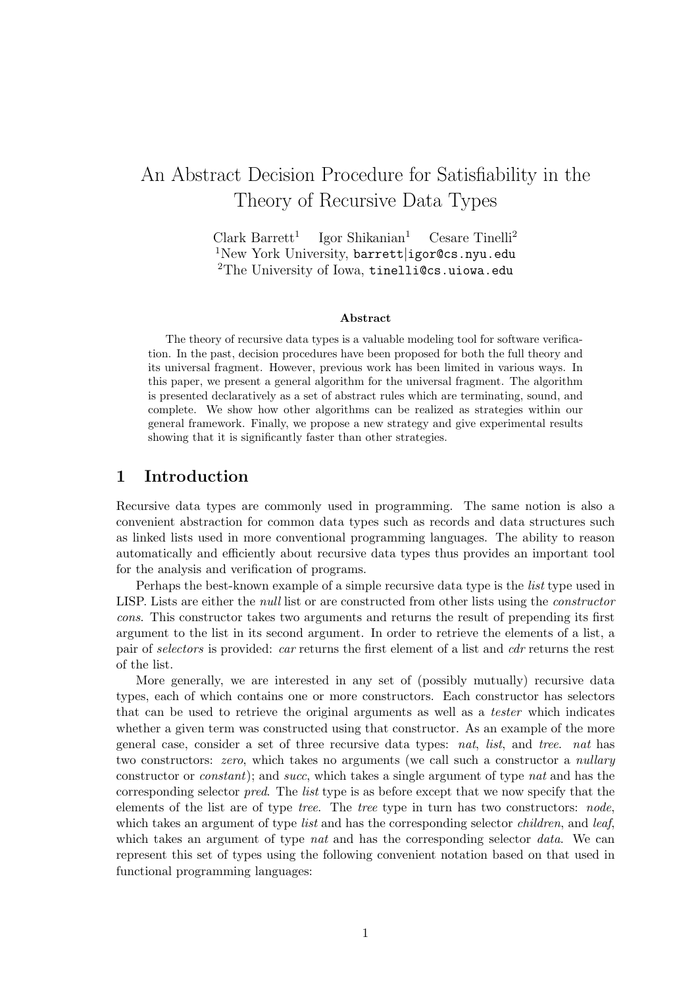# An Abstract Decision Procedure for Satisfiability in the Theory of Recursive Data Types

 $Clark$  Barrett<sup>1</sup> Igor Shikanian<sup>1</sup> Cesare Tinelli<sup>2</sup> <sup>1</sup>New York University, barrett igor@cs.nyu.edu  $2$ The University of Iowa, tinelli@cs.uiowa.edu

#### Abstract

The theory of recursive data types is a valuable modeling tool for software verification. In the past, decision procedures have been proposed for both the full theory and its universal fragment. However, previous work has been limited in various ways. In this paper, we present a general algorithm for the universal fragment. The algorithm is presented declaratively as a set of abstract rules which are terminating, sound, and complete. We show how other algorithms can be realized as strategies within our general framework. Finally, we propose a new strategy and give experimental results showing that it is significantly faster than other strategies.

## 1 Introduction

Recursive data types are commonly used in programming. The same notion is also a convenient abstraction for common data types such as records and data structures such as linked lists used in more conventional programming languages. The ability to reason automatically and efficiently about recursive data types thus provides an important tool for the analysis and verification of programs.

Perhaps the best-known example of a simple recursive data type is the list type used in LISP. Lists are either the null list or are constructed from other lists using the constructor cons. This constructor takes two arguments and returns the result of prepending its first argument to the list in its second argument. In order to retrieve the elements of a list, a pair of selectors is provided: car returns the first element of a list and cdr returns the rest of the list.

More generally, we are interested in any set of (possibly mutually) recursive data types, each of which contains one or more constructors. Each constructor has selectors that can be used to retrieve the original arguments as well as a tester which indicates whether a given term was constructed using that constructor. As an example of the more general case, consider a set of three recursive data types: nat, list, and tree. nat has two constructors: *zero*, which takes no arguments (we call such a constructor a *nullary* constructor or constant); and succ, which takes a single argument of type nat and has the corresponding selector *pred*. The *list* type is as before except that we now specify that the elements of the list are of type tree. The tree type in turn has two constructors: node, which takes an argument of type *list* and has the corresponding selector *children*, and *leaf*, which takes an argument of type *nat* and has the corresponding selector  $data$ . We can represent this set of types using the following convenient notation based on that used in functional programming languages: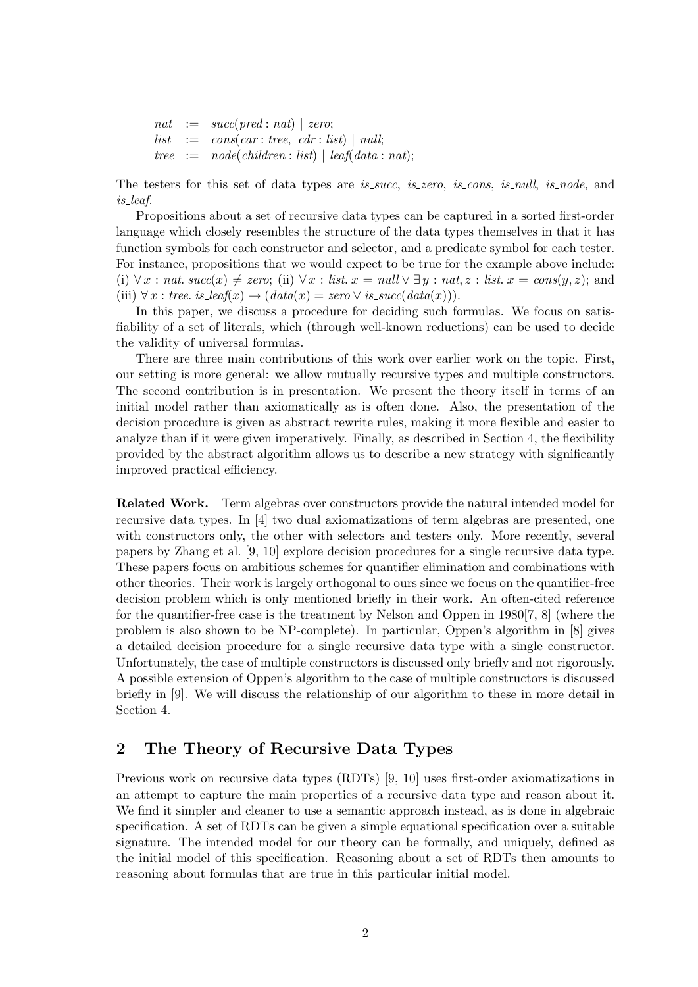nat  $:= succ(pred: nat) | zero;$  $list := \cos(\text{car} : \text{tree}, \text{cdr} : \text{list}) \mid \text{null};$ tree :=  $node(children: list) | leaf(data: nat);$ 

The testers for this set of data types are *is\_succ*, *is\_zero*, *is\_cons*, *is\_null*, *is\_node*, and is leaf.

Propositions about a set of recursive data types can be captured in a sorted first-order language which closely resembles the structure of the data types themselves in that it has function symbols for each constructor and selector, and a predicate symbol for each tester. For instance, propositions that we would expect to be true for the example above include: (i)  $\forall x : nat.\ succ(x) \neq zero;$  (ii)  $\forall x : list.\ x = null \vee \exists y : nat.\ z : list.\ x = cons(y, z);$  and (iii)  $\forall x : tree.$  is  $leaf(x) \rightarrow (data(x) = zero \vee is\_succ(data(x))).$ 

In this paper, we discuss a procedure for deciding such formulas. We focus on satisfiability of a set of literals, which (through well-known reductions) can be used to decide the validity of universal formulas.

There are three main contributions of this work over earlier work on the topic. First, our setting is more general: we allow mutually recursive types and multiple constructors. The second contribution is in presentation. We present the theory itself in terms of an initial model rather than axiomatically as is often done. Also, the presentation of the decision procedure is given as abstract rewrite rules, making it more flexible and easier to analyze than if it were given imperatively. Finally, as described in Section 4, the flexibility provided by the abstract algorithm allows us to describe a new strategy with significantly improved practical efficiency.

Related Work. Term algebras over constructors provide the natural intended model for recursive data types. In [4] two dual axiomatizations of term algebras are presented, one with constructors only, the other with selectors and testers only. More recently, several papers by Zhang et al. [9, 10] explore decision procedures for a single recursive data type. These papers focus on ambitious schemes for quantifier elimination and combinations with other theories. Their work is largely orthogonal to ours since we focus on the quantifier-free decision problem which is only mentioned briefly in their work. An often-cited reference for the quantifier-free case is the treatment by Nelson and Oppen in 1980[7, 8] (where the problem is also shown to be NP-complete). In particular, Oppen's algorithm in [8] gives a detailed decision procedure for a single recursive data type with a single constructor. Unfortunately, the case of multiple constructors is discussed only briefly and not rigorously. A possible extension of Oppen's algorithm to the case of multiple constructors is discussed briefly in [9]. We will discuss the relationship of our algorithm to these in more detail in Section 4.

# 2 The Theory of Recursive Data Types

Previous work on recursive data types (RDTs) [9, 10] uses first-order axiomatizations in an attempt to capture the main properties of a recursive data type and reason about it. We find it simpler and cleaner to use a semantic approach instead, as is done in algebraic specification. A set of RDTs can be given a simple equational specification over a suitable signature. The intended model for our theory can be formally, and uniquely, defined as the initial model of this specification. Reasoning about a set of RDTs then amounts to reasoning about formulas that are true in this particular initial model.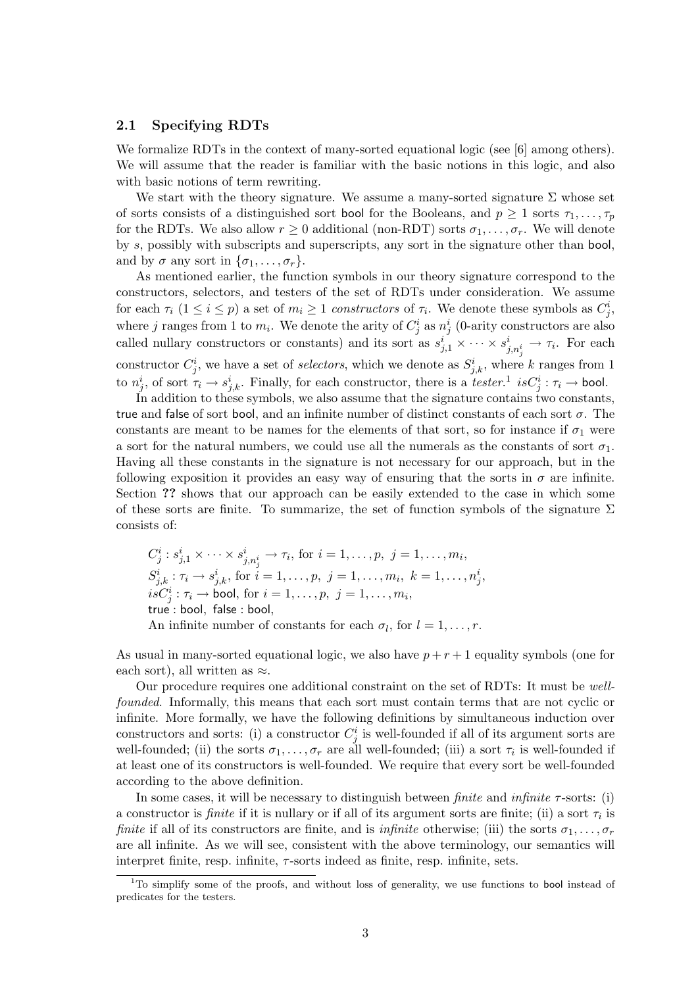#### 2.1 Specifying RDTs

We formalize RDTs in the context of many-sorted equational logic (see [6] among others). We will assume that the reader is familiar with the basic notions in this logic, and also with basic notions of term rewriting.

We start with the theory signature. We assume a many-sorted signature  $\Sigma$  whose set of sorts consists of a distinguished sort bool for the Booleans, and  $p \geq 1$  sorts  $\tau_1, \ldots, \tau_p$ for the RDTs. We also allow  $r \geq 0$  additional (non-RDT) sorts  $\sigma_1, \ldots, \sigma_r$ . We will denote by s, possibly with subscripts and superscripts, any sort in the signature other than bool, and by  $\sigma$  any sort in  $\{\sigma_1, \ldots, \sigma_r\}.$ 

As mentioned earlier, the function symbols in our theory signature correspond to the constructors, selectors, and testers of the set of RDTs under consideration. We assume for each  $\tau_i$   $(1 \leq i \leq p)$  a set of  $m_i \geq 1$  constructors of  $\tau_i$ . We denote these symbols as  $C_j^i$ , where j ranges from 1 to  $m_i$ . We denote the arity of  $C_j^i$  as  $n_j^i$  (0-arity constructors are also called nullary constructors or constants) and its sort as  $s_{j,1}^i \times \cdots \times s_{j,n_j^i}^i \to \tau_i$ . For each constructor  $C_j^i$ , we have a set of *selectors*, which we denote as  $S_{j,k}^i$ , where k ranges from 1 to  $n_j^i$ , of sort  $\tau_i \to s_{j,k}^i$ . Finally, for each constructor, there is a tester.<sup>1</sup> is $C_j^i : \tau_i \to$  bool.

In addition to these symbols, we also assume that the signature contains two constants, true and false of sort bool, and an infinite number of distinct constants of each sort  $\sigma$ . The constants are meant to be names for the elements of that sort, so for instance if  $\sigma_1$  were a sort for the natural numbers, we could use all the numerals as the constants of sort  $\sigma_1$ . Having all these constants in the signature is not necessary for our approach, but in the following exposition it provides an easy way of ensuring that the sorts in  $\sigma$  are infinite. Section ?? shows that our approach can be easily extended to the case in which some of these sorts are finite. To summarize, the set of function symbols of the signature  $\Sigma$ consists of:

$$
C_j^i: s_{j,1}^i \times \cdots \times s_{j,n_j^i}^i \to \tau_i, \text{ for } i = 1, \ldots, p, \ j = 1, \ldots, m_i,
$$
  
\n
$$
S_{j,k}^i: \tau_i \to s_{j,k}^i, \text{ for } i = 1, \ldots, p, \ j = 1, \ldots, m_i, \ k = 1, \ldots, n_j^i,
$$
  
\n
$$
isC_j^i: \tau_i \to \text{bool}, \text{ for } i = 1, \ldots, p, \ j = 1, \ldots, m_i,
$$
  
\ntrue : bool, false : bool,

An infinite number of constants for each  $\sigma_l$ , for  $l = 1, \ldots, r$ .

As usual in many-sorted equational logic, we also have  $p + r + 1$  equality symbols (one for each sort), all written as  $\approx$ .

Our procedure requires one additional constraint on the set of RDTs: It must be wellfounded. Informally, this means that each sort must contain terms that are not cyclic or infinite. More formally, we have the following definitions by simultaneous induction over constructors and sorts: (i) a constructor  $C_j^i$  is well-founded if all of its argument sorts are well-founded; (ii) the sorts  $\sigma_1, \ldots, \sigma_r$  are all well-founded; (iii) a sort  $\tau_i$  is well-founded if at least one of its constructors is well-founded. We require that every sort be well-founded according to the above definition.

In some cases, it will be necessary to distinguish between *finite* and *infinite*  $\tau$ -sorts: (i) a constructor is *finite* if it is nullary or if all of its argument sorts are finite; (ii) a sort  $\tau_i$  is finite if all of its constructors are finite, and is *infinite* otherwise; (iii) the sorts  $\sigma_1, \ldots, \sigma_r$ are all infinite. As we will see, consistent with the above terminology, our semantics will interpret finite, resp. infinite,  $\tau$ -sorts indeed as finite, resp. infinite, sets.

 $1$ To simplify some of the proofs, and without loss of generality, we use functions to bool instead of predicates for the testers.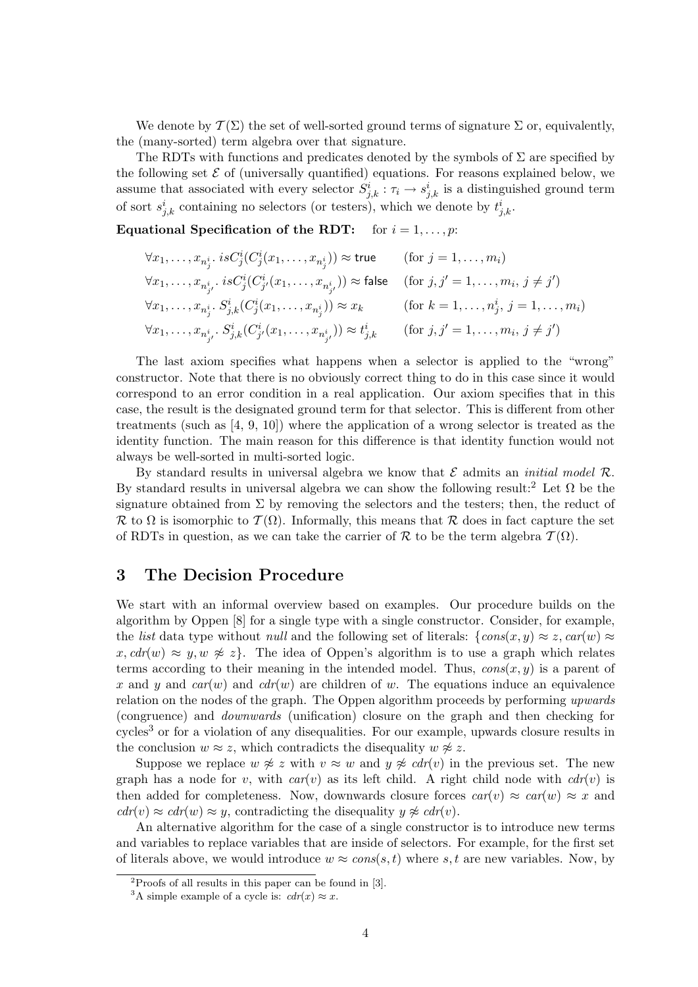We denote by  $\mathcal{T}(\Sigma)$  the set of well-sorted ground terms of signature  $\Sigma$  or, equivalently, the (many-sorted) term algebra over that signature.

The RDTs with functions and predicates denoted by the symbols of  $\Sigma$  are specified by the following set  $\mathcal E$  of (universally quantified) equations. For reasons explained below, we assume that associated with every selector  $S^i_{j,k} : \tau_i \to s^i_{j,k}$  is a distinguished ground term of sort  $s_{j,k}^i$  containing no selectors (or testers), which we denote by  $t_{j,k}^i$ .

Equational Specification of the RDT: for  $i = 1, \ldots, p$ :

$$
\forall x_1, \dots, x_{n_j^i} \text{ is } C_j^i(C_j^i(x_1, \dots, x_{n_j^i})) \approx \text{true} \qquad \text{(for } j = 1, \dots, m_i)
$$
\n
$$
\forall x_1, \dots, x_{n_{j'}^i} \text{ is } C_j^i(C_{j'}^i(x_1, \dots, x_{n_{j'}^i})) \approx \text{false} \qquad \text{(for } j, j' = 1, \dots, m_i, j \neq j')
$$
\n
$$
\forall x_1, \dots, x_{n_j^i} \text{ is } S_{j,k}^i(C_j^i(x_1, \dots, x_{n_j^i})) \approx x_k \qquad \text{(for } k = 1, \dots, n_j^i, j = 1, \dots, m_i)
$$
\n
$$
\forall x_1, \dots, x_{n_{j'}^i} \text{ is } S_{j,k}^i(C_{j'}^i(x_1, \dots, x_{n_{j'}^i})) \approx t_{j,k}^i \qquad \text{(for } j, j' = 1, \dots, m_i, j \neq j')
$$

The last axiom specifies what happens when a selector is applied to the "wrong" constructor. Note that there is no obviously correct thing to do in this case since it would correspond to an error condition in a real application. Our axiom specifies that in this case, the result is the designated ground term for that selector. This is different from other treatments (such as [4, 9, 10]) where the application of a wrong selector is treated as the identity function. The main reason for this difference is that identity function would not always be well-sorted in multi-sorted logic.

By standard results in universal algebra we know that  $\mathcal E$  admits an *initial model*  $\mathcal R$ . By standard results in universal algebra we can show the following result:<sup>2</sup> Let  $\Omega$  be the signature obtained from  $\Sigma$  by removing the selectors and the testers; then, the reduct of  $\mathcal R$  to  $\Omega$  is isomorphic to  $\mathcal T(\Omega)$ . Informally, this means that R does in fact capture the set of RDTs in question, as we can take the carrier of R to be the term algebra  $\mathcal{T}(\Omega)$ .

# 3 The Decision Procedure

We start with an informal overview based on examples. Our procedure builds on the algorithm by Oppen [8] for a single type with a single constructor. Consider, for example, the list data type without null and the following set of literals: { $cons(x, y) \approx z$ ,  $car(w) \approx$  $x, \text{cdr}(w) \approx y, w \not\approx z$ . The idea of Oppen's algorithm is to use a graph which relates terms according to their meaning in the intended model. Thus,  $\text{cons}(x, y)$  is a parent of x and y and  $car(w)$  and  $cdr(w)$  are children of w. The equations induce an equivalence relation on the nodes of the graph. The Oppen algorithm proceeds by performing upwards (congruence) and downwards (unification) closure on the graph and then checking for cycles<sup>3</sup> or for a violation of any disequalities. For our example, upwards closure results in the conclusion  $w \approx z$ , which contradicts the disequality  $w \not\approx z$ .

Suppose we replace  $w \not\approx z$  with  $v \approx w$  and  $y \not\approx cdr(v)$  in the previous set. The new graph has a node for v, with  $car(v)$  as its left child. A right child node with  $cdr(v)$  is then added for completeness. Now, downwards closure forces  $car(v) \approx car(w) \approx x$  and  $cdr(v) \approx cdr(w) \approx y$ , contradicting the disequality  $y \not\approx cdr(v)$ .

An alternative algorithm for the case of a single constructor is to introduce new terms and variables to replace variables that are inside of selectors. For example, for the first set of literals above, we would introduce  $w \approx const(s,t)$  where s, t are new variables. Now, by

 ${}^{2}$ Proofs of all results in this paper can be found in [3].

<sup>&</sup>lt;sup>3</sup>A simple example of a cycle is:  $cdr(x) \approx x$ .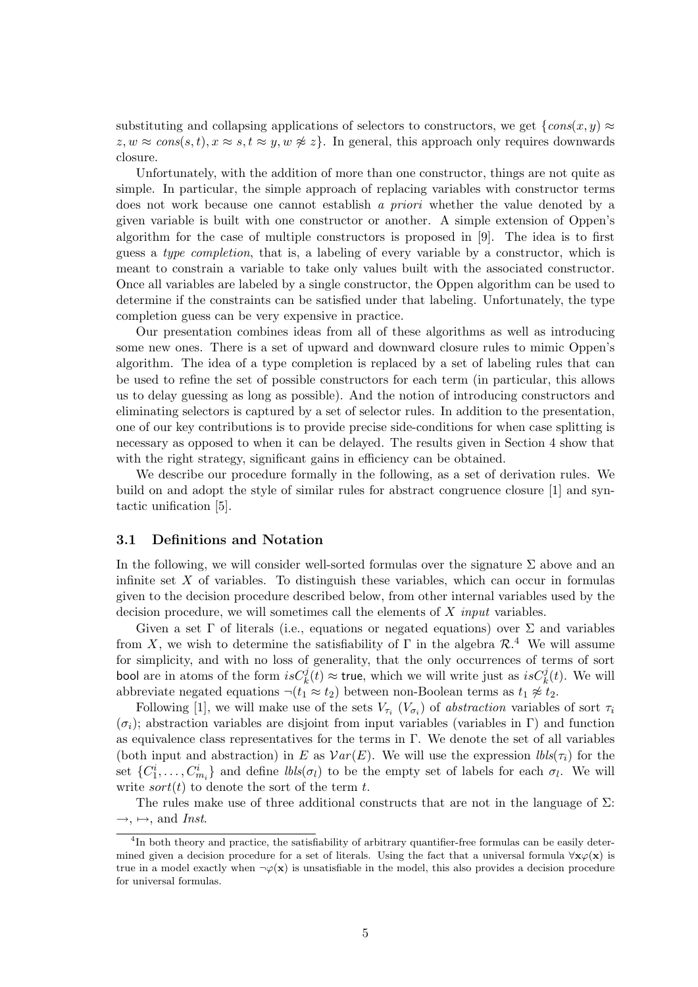substituting and collapsing applications of selectors to constructors, we get  $\{cons(x, y) \approx$  $z, w \approx const(s, t), x \approx s, t \approx y, w \not\approx z$ . In general, this approach only requires downwards closure.

Unfortunately, with the addition of more than one constructor, things are not quite as simple. In particular, the simple approach of replacing variables with constructor terms does not work because one cannot establish a priori whether the value denoted by a given variable is built with one constructor or another. A simple extension of Oppen's algorithm for the case of multiple constructors is proposed in [9]. The idea is to first guess a type completion, that is, a labeling of every variable by a constructor, which is meant to constrain a variable to take only values built with the associated constructor. Once all variables are labeled by a single constructor, the Oppen algorithm can be used to determine if the constraints can be satisfied under that labeling. Unfortunately, the type completion guess can be very expensive in practice.

Our presentation combines ideas from all of these algorithms as well as introducing some new ones. There is a set of upward and downward closure rules to mimic Oppen's algorithm. The idea of a type completion is replaced by a set of labeling rules that can be used to refine the set of possible constructors for each term (in particular, this allows us to delay guessing as long as possible). And the notion of introducing constructors and eliminating selectors is captured by a set of selector rules. In addition to the presentation, one of our key contributions is to provide precise side-conditions for when case splitting is necessary as opposed to when it can be delayed. The results given in Section 4 show that with the right strategy, significant gains in efficiency can be obtained.

We describe our procedure formally in the following, as a set of derivation rules. We build on and adopt the style of similar rules for abstract congruence closure [1] and syntactic unification [5].

#### 3.1 Definitions and Notation

In the following, we will consider well-sorted formulas over the signature  $\Sigma$  above and an infinite set  $X$  of variables. To distinguish these variables, which can occur in formulas given to the decision procedure described below, from other internal variables used by the decision procedure, we will sometimes call the elements of X *input* variables.

Given a set  $\Gamma$  of literals (i.e., equations or negated equations) over  $\Sigma$  and variables from X, we wish to determine the satisfiability of  $\Gamma$  in the algebra  $\mathcal{R}$ .<sup>4</sup> We will assume for simplicity, and with no loss of generality, that the only occurrences of terms of sort bool are in atoms of the form  $isC_k^j(t) \approx$  true, which we will write just as  $isC_k^j(t)$ . We will abbreviate negated equations  $\neg(t_1 \approx t_2)$  between non-Boolean terms as  $t_1 \not\approx t_2$ .

Following [1], we will make use of the sets  $V_{\tau_i}$  ( $V_{\sigma_i}$ ) of abstraction variables of sort  $\tau_i$  $(\sigma_i)$ ; abstraction variables are disjoint from input variables (variables in Γ) and function as equivalence class representatives for the terms in Γ. We denote the set of all variables (both input and abstraction) in E as  $Var(E)$ . We will use the expression  $llls(\tau_i)$  for the set  $\{C_1^i, \ldots, C_{m_i}^i\}$  and define  $\mathit{bls}(\sigma_l)$  to be the empty set of labels for each  $\sigma_l$ . We will write  $sort(t)$  to denote the sort of the term t.

The rules make use of three additional constructs that are not in the language of  $\Sigma$ :  $\rightarrow$ ,  $\rightarrow$ , and Inst.

<sup>&</sup>lt;sup>4</sup>In both theory and practice, the satisfiability of arbitrary quantifier-free formulas can be easily determined given a decision procedure for a set of literals. Using the fact that a universal formula  $\forall x \varphi(x)$  is true in a model exactly when  $\neg \varphi(\mathbf{x})$  is unsatisfiable in the model, this also provides a decision procedure for universal formulas.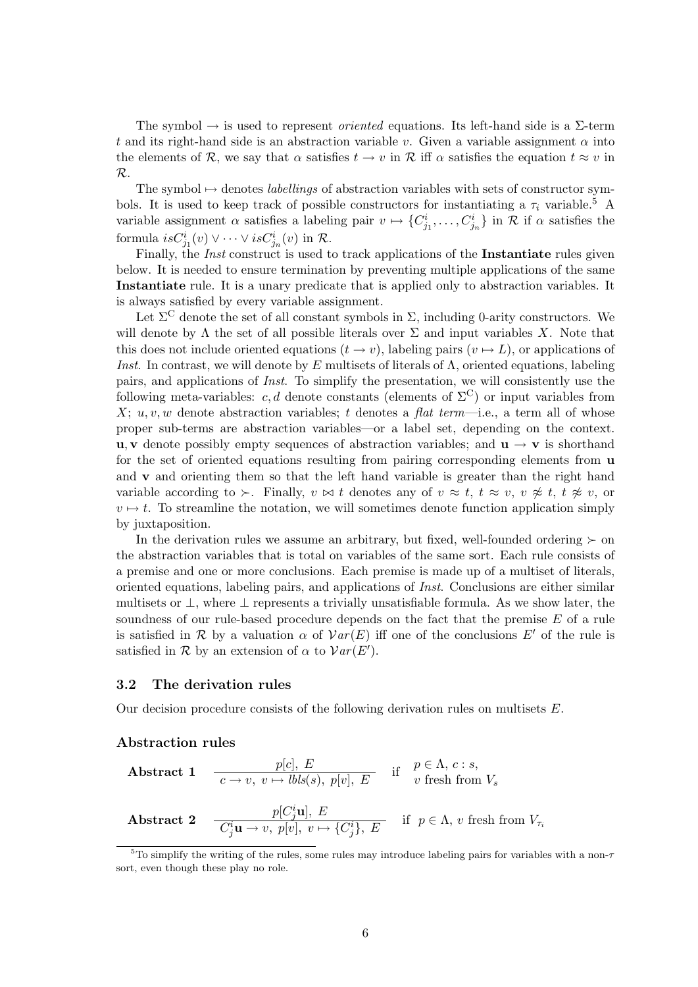The symbol  $\rightarrow$  is used to represent *oriented* equations. Its left-hand side is a  $\Sigma$ -term t and its right-hand side is an abstraction variable v. Given a variable assignment  $\alpha$  into the elements of R, we say that  $\alpha$  satisfies  $t \to v$  in R iff  $\alpha$  satisfies the equation  $t \approx v$  in R.

The symbol  $\rightarrow$  denotes *labellings* of abstraction variables with sets of constructor symbols. It is used to keep track of possible constructors for instantiating a  $\tau_i$  variable.<sup>5</sup> A variable assignment  $\alpha$  satisfies a labeling pair  $v \mapsto \{C_{j_1}^i,\ldots,C_{j_n}^i\}$  in  $\mathcal R$  if  $\alpha$  satisfies the formula  $isC^i_{j_1}(v) \vee \cdots \vee isC^i_{j_n}(v)$  in  $\mathcal{R}$ .

Finally, the *Inst* construct is used to track applications of the **Instantiate** rules given below. It is needed to ensure termination by preventing multiple applications of the same Instantiate rule. It is a unary predicate that is applied only to abstraction variables. It is always satisfied by every variable assignment.

Let  $\Sigma^C$  denote the set of all constant symbols in  $\Sigma$ , including 0-arity constructors. We will denote by  $\Lambda$  the set of all possible literals over  $\Sigma$  and input variables X. Note that this does not include oriented equations  $(t \to v)$ , labeling pairs  $(v \mapsto L)$ , or applications of Inst. In contrast, we will denote by E multisets of literals of  $\Lambda$ , oriented equations, labeling pairs, and applications of Inst. To simplify the presentation, we will consistently use the following meta-variables: c, d denote constants (elements of  $\Sigma^C$ ) or input variables from X; u, v, w denote abstraction variables; t denotes a flat term—i.e., a term all of whose proper sub-terms are abstraction variables—or a label set, depending on the context. u, v denote possibly empty sequences of abstraction variables; and  $u \rightarrow v$  is shorthand for the set of oriented equations resulting from pairing corresponding elements from u and v and orienting them so that the left hand variable is greater than the right hand variable according to  $\succ$ . Finally,  $v \bowtie t$  denotes any of  $v \approx t$ ,  $t \approx v$ ,  $v \not\approx t$ ,  $t \not\approx v$ , or  $v \mapsto t$ . To streamline the notation, we will sometimes denote function application simply by juxtaposition.

In the derivation rules we assume an arbitrary, but fixed, well-founded ordering  $\succ$  on the abstraction variables that is total on variables of the same sort. Each rule consists of a premise and one or more conclusions. Each premise is made up of a multiset of literals, oriented equations, labeling pairs, and applications of Inst. Conclusions are either similar multisets or  $\perp$ , where  $\perp$  represents a trivially unsatisfiable formula. As we show later, the soundness of our rule-based procedure depends on the fact that the premise  $E$  of a rule is satisfied in R by a valuation  $\alpha$  of  $Var(E)$  iff one of the conclusions E' of the rule is satisfied in  $\mathcal R$  by an extension of  $\alpha$  to  $\mathcal Var(E')$ .

#### 3.2 The derivation rules

Our decision procedure consists of the following derivation rules on multisets E.

#### Abstraction rules

**Abstract 1**  $\frac{p[c], E}{c \to v, v \mapsto \textit{bls}(s), p[v], E}$  if  $p \in \Lambda, c : s$ , <br>  $v$  fresh from  $V_s$ 

**Abstract 2** 
$$
\frac{p[C_j^i \mathbf{u}], E}{C_j^i \mathbf{u} \to v, p[v], v \mapsto \{C_j^i\}, E} \quad \text{if } p \in \Lambda, v \text{ fresh from } V_{\tau_i}
$$

<sup>&</sup>lt;sup>5</sup>To simplify the writing of the rules, some rules may introduce labeling pairs for variables with a non- $\tau$ sort, even though these play no role.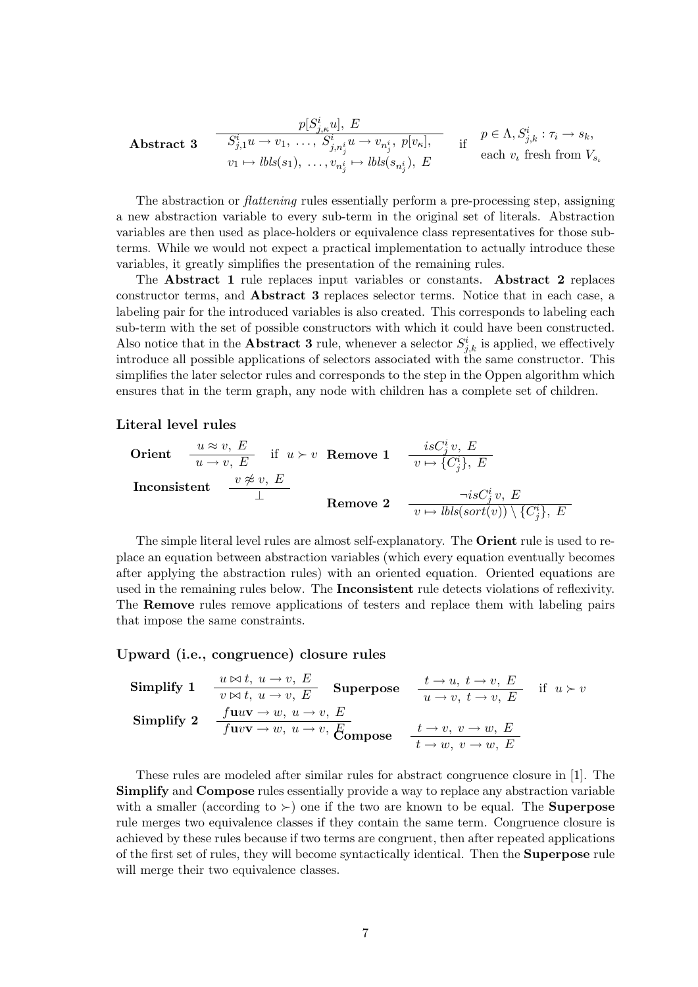**Abstract 3** 
$$
\overbrace{\n\begin{array}{c}\nS_{j,k}^{i}u, E \\
\hline\nS_{j,1}^{i}u \rightarrow v_{1}, \ldots, S_{j,n_j}^{i}u \rightarrow v_{n_j}^{i}, p[v_{\kappa}], \\
v_1 \mapsto lbls(s_1), \ldots, v_{n_j}^{i} \mapsto lbls(s_{n_j}^{i}), E\n\end{array}}^{p\left[S_{j,\kappa}^{i}u\right], p\in\Lambda, S_{j,k}^{i} : \tau_i \rightarrow s_k, \tau_i \rightarrow s_k, p[v_{\kappa}], \tau_i \mapsto v_{n_j}^{i} \mapsto lbls(s_{n_j}^{i}), E
$$

The abstraction or *flattening* rules essentially perform a pre-processing step, assigning a new abstraction variable to every sub-term in the original set of literals. Abstraction variables are then used as place-holders or equivalence class representatives for those subterms. While we would not expect a practical implementation to actually introduce these variables, it greatly simplifies the presentation of the remaining rules.

The Abstract 1 rule replaces input variables or constants. Abstract 2 replaces constructor terms, and Abstract 3 replaces selector terms. Notice that in each case, a labeling pair for the introduced variables is also created. This corresponds to labeling each sub-term with the set of possible constructors with which it could have been constructed. Also notice that in the **Abstract 3** rule, whenever a selector  $S_{j,k}^i$  is applied, we effectively introduce all possible applications of selectors associated with the same constructor. This simplifies the later selector rules and corresponds to the step in the Oppen algorithm which ensures that in the term graph, any node with children has a complete set of children.

#### Literal level rules

| Orient       | $u \approx v, E$     | if $u \succ v$ | Remove 1                                           | $isC_j^i v, E$ |
|--------------|----------------------|----------------|----------------------------------------------------|----------------|
| Inconsistent | $v \not\approx v, E$ | Remove 2       | $\frac{\neg isC_j^i v, E}{v \mapsto \{C_j^i\}, E}$ |                |

\nRemove 2

\n $\frac{\neg isC_j^i v, E}{v \mapsto \text{lbls}(sort(v)) \setminus \{C_j^i\}, E}$ 

The simple literal level rules are almost self-explanatory. The Orient rule is used to replace an equation between abstraction variables (which every equation eventually becomes after applying the abstraction rules) with an oriented equation. Oriented equations are used in the remaining rules below. The Inconsistent rule detects violations of reflexivity. The Remove rules remove applications of testers and replace them with labeling pairs that impose the same constraints.

#### Upward (i.e., congruence) closure rules

Simplify 1 
$$
\frac{u \bowtie t, u \rightarrow v, E}{v \bowtie t, u \rightarrow v, E}
$$
 Superpose  $\frac{t \rightarrow u, t \rightarrow v, E}{u \rightarrow v, t \rightarrow v, E}$  if  $u \succ v$   
\nSimplify 2  $\frac{f u u v \rightarrow w, u \rightarrow v, E}{f u v v \rightarrow w, u \rightarrow v, E}$   
\n $\frac{t \rightarrow v, v \rightarrow w, E}{t \rightarrow w, v \rightarrow w, E}$ 

These rules are modeled after similar rules for abstract congruence closure in [1]. The Simplify and Compose rules essentially provide a way to replace any abstraction variable with a smaller (according to  $\succ$ ) one if the two are known to be equal. The **Superpose** rule merges two equivalence classes if they contain the same term. Congruence closure is achieved by these rules because if two terms are congruent, then after repeated applications of the first set of rules, they will become syntactically identical. Then the Superpose rule will merge their two equivalence classes.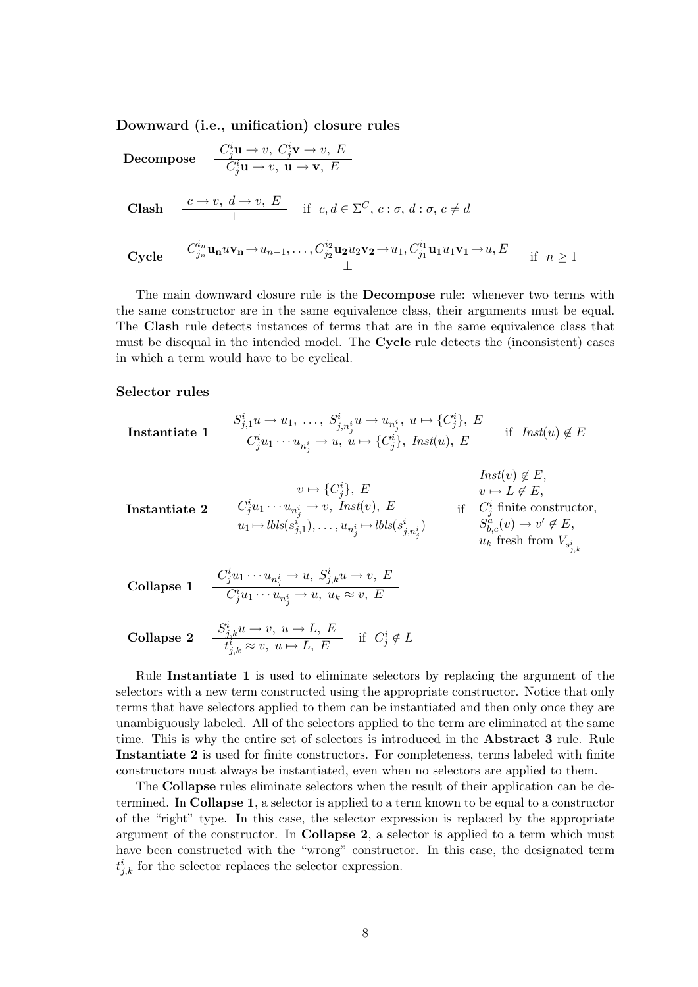Downward (i.e., unification) closure rules

**Decompose** 
$$
\frac{C_j^i \mathbf{u} \to v, C_j^i \mathbf{v} \to v, E}{C_j^i \mathbf{u} \to v, \mathbf{u} \to \mathbf{v}, E}
$$

**Clash** 
$$
\xrightarrow{c \to v, d \to v, E}
$$
 if  $c, d \in \Sigma^C, c : \sigma, d : \sigma, c \neq d$ 

$$
\textbf{Cycle} \quad \frac{C_{j_n}^{i_n} \mathbf{u_n} u \mathbf{v_n} \to u_{n-1}, \dots, C_{j_2}^{i_2} \mathbf{u_2} u_2 \mathbf{v_2} \to u_1, C_{j_1}^{i_1} \mathbf{u_1} u_1 \mathbf{v_1} \to u, E}{\perp} \quad \text{if} \quad n \ge 1
$$

The main downward closure rule is the Decompose rule: whenever two terms with the same constructor are in the same equivalence class, their arguments must be equal. The Clash rule detects instances of terms that are in the same equivalence class that must be disequal in the intended model. The Cycle rule detects the (inconsistent) cases in which a term would have to be cyclical.

#### Selector rules

$$
\text{Instantiate 1} \quad \frac{S_{j,1}^i u \to u_1, \ \dots, \ S_{j,n_j^i}^i u \to u_{n_j^i}, \ u \mapsto \{C_j^i\}, \ E}{C_j^i u_1 \cdots u_{n_j^i} \to u, \ u \mapsto \{C_j^i\}, \ \text{Inst}(u), \ E} \quad \text{if } \ \text{Inst}(u) \notin E
$$

| Instantiate 2 | $v \mapsto \{C_j^i\}$ , $E$ | $Inst(v) \notin E$ ,<br>$u_1 \mapsto bls(s_{j,1}^i), \ldots, u_{n_j^i} \mapsto v$ , $Inst(v)$ , $E$ | $Inst(v) \notin E$ ,<br>$\text{if } C_j^i \text{ finite constructor,}$<br>$S_{b,c}^a(v) \to v' \notin E$ ,<br>$u_k \text{ fresh from } V_{s_{j,k}^i}$ |
|---------------|-----------------------------|-----------------------------------------------------------------------------------------------------|-------------------------------------------------------------------------------------------------------------------------------------------------------|
|---------------|-----------------------------|-----------------------------------------------------------------------------------------------------|-------------------------------------------------------------------------------------------------------------------------------------------------------|

$$
\textbf{Collapse 1} \quad \frac{C_j^i u_1 \cdots u_{n_j^i} \to u, \ S_{j,k}^i u \to v, \ E}{C_j^i u_1 \cdots u_{n_j^i} \to u, \ u_k \approx v, \ E}
$$

$$
\text{Collapse 2} \quad \frac{S_{j,k}^i u \to v, \ u \mapsto L, \ E}{t_{j,k}^i \approx v, \ u \mapsto L, \ E} \quad \text{if } C_j^i \notin L
$$

Rule Instantiate 1 is used to eliminate selectors by replacing the argument of the selectors with a new term constructed using the appropriate constructor. Notice that only terms that have selectors applied to them can be instantiated and then only once they are unambiguously labeled. All of the selectors applied to the term are eliminated at the same time. This is why the entire set of selectors is introduced in the Abstract 3 rule. Rule Instantiate 2 is used for finite constructors. For completeness, terms labeled with finite constructors must always be instantiated, even when no selectors are applied to them.

The Collapse rules eliminate selectors when the result of their application can be determined. In Collapse 1, a selector is applied to a term known to be equal to a constructor of the "right" type. In this case, the selector expression is replaced by the appropriate argument of the constructor. In Collapse 2, a selector is applied to a term which must have been constructed with the "wrong" constructor. In this case, the designated term  $t^i_{j,k}$  for the selector replaces the selector expression.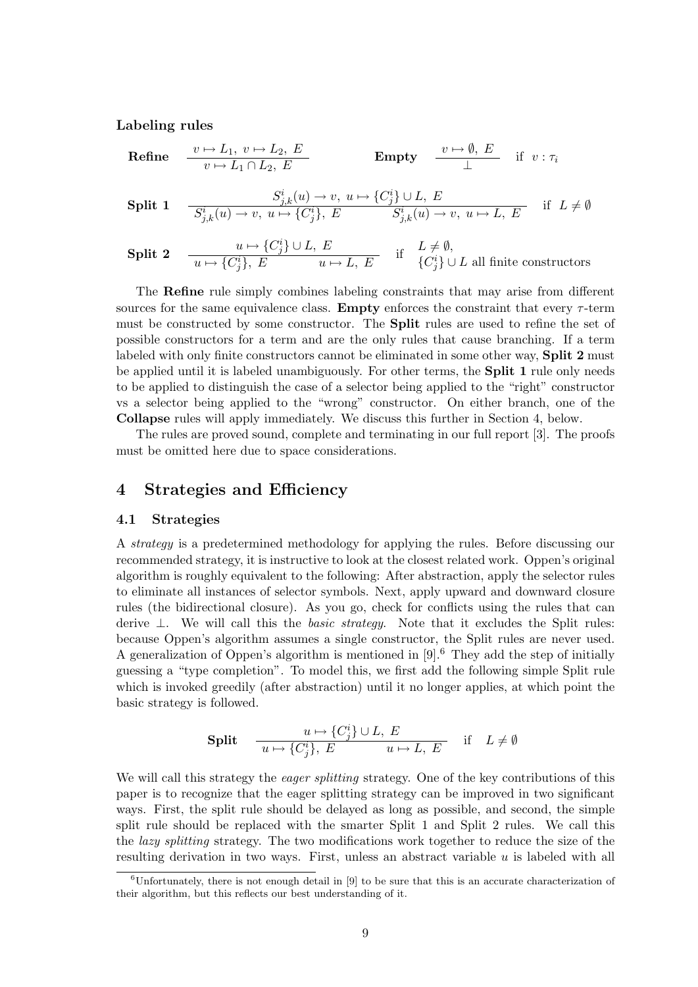Labeling rules

**Refine** 
$$
\frac{v \mapsto L_1, v \mapsto L_2, E}{v \mapsto L_1 \cap L_2, E}
$$
**Empty** 
$$
\frac{v \mapsto \emptyset, E}{\perp}
$$
 if  $v : \tau_i$   
\n**Split 1** 
$$
\frac{S_{j,k}^i(u) \to v, u \mapsto \{C_j^i\} \cup L, E}{S_{j,k}^i(u) \to v, u \mapsto \{C_j^i\}, E}
$$
 if  $L \neq \emptyset$ 

Split 2  $u \mapsto \{C_j^i\} \cup L, E$  $u \mapsto \{C_j^i\} \cup L, E$  if  $L \neq \emptyset$ ,<br>  $u \mapsto \{C_j^i\}, E$   $u \mapsto L, E$  if  $\{C_j^i\} \cup L$  all finite constructors

The Refine rule simply combines labeling constraints that may arise from different sources for the same equivalence class. **Empty** enforces the constraint that every  $\tau$ -term must be constructed by some constructor. The Split rules are used to refine the set of possible constructors for a term and are the only rules that cause branching. If a term labeled with only finite constructors cannot be eliminated in some other way, Split 2 must be applied until it is labeled unambiguously. For other terms, the Split 1 rule only needs to be applied to distinguish the case of a selector being applied to the "right" constructor vs a selector being applied to the "wrong" constructor. On either branch, one of the Collapse rules will apply immediately. We discuss this further in Section 4, below.

The rules are proved sound, complete and terminating in our full report [3]. The proofs must be omitted here due to space considerations.

### 4 Strategies and Efficiency

#### 4.1 Strategies

A strategy is a predetermined methodology for applying the rules. Before discussing our recommended strategy, it is instructive to look at the closest related work. Oppen's original algorithm is roughly equivalent to the following: After abstraction, apply the selector rules to eliminate all instances of selector symbols. Next, apply upward and downward closure rules (the bidirectional closure). As you go, check for conflicts using the rules that can derive ⊥. We will call this the *basic strategy*. Note that it excludes the Split rules: because Oppen's algorithm assumes a single constructor, the Split rules are never used. A generalization of Oppen's algorithm is mentioned in [9].<sup>6</sup> They add the step of initially guessing a "type completion". To model this, we first add the following simple Split rule which is invoked greedily (after abstraction) until it no longer applies, at which point the basic strategy is followed.

$$
\text{Split} \quad \frac{u \mapsto \{C^i_j\} \cup L, \ E}{u \mapsto \{C^i_j\}, \ E} \quad \text{if} \quad L \neq \emptyset
$$

We will call this strategy the *eager splitting* strategy. One of the key contributions of this paper is to recognize that the eager splitting strategy can be improved in two significant ways. First, the split rule should be delayed as long as possible, and second, the simple split rule should be replaced with the smarter Split 1 and Split 2 rules. We call this the lazy splitting strategy. The two modifications work together to reduce the size of the resulting derivation in two ways. First, unless an abstract variable  $u$  is labeled with all

 ${}^{6}$ Unfortunately, there is not enough detail in [9] to be sure that this is an accurate characterization of their algorithm, but this reflects our best understanding of it.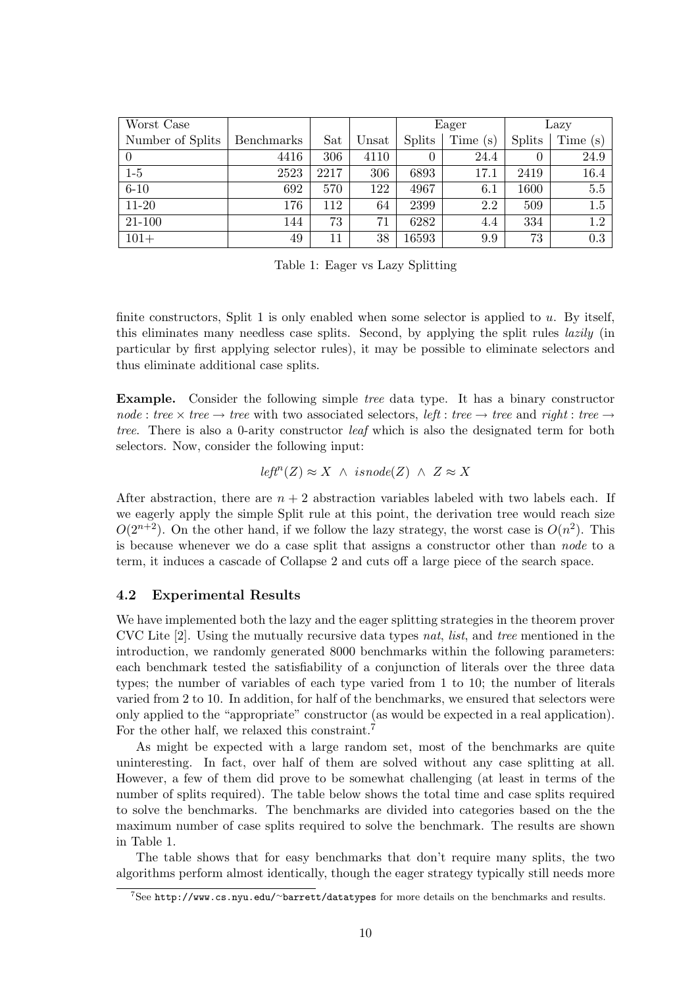| Worst Case       |            |      |       | Eager         |          | Lazy          |            |
|------------------|------------|------|-------|---------------|----------|---------------|------------|
| Number of Splits | Benchmarks | Sat  | Unsat | <b>Splits</b> | Time (s) | <b>Splits</b> | Time $(s)$ |
| $\theta$         | 4416       | 306  | 4110  |               | 24.4     |               | 24.9       |
| $1-5$            | 2523       | 2217 | 306   | 6893          | 17.1     | 2419          | 16.4       |
| $6 - 10$         | 692        | 570  | 122   | 4967          | 6.1      | 1600          | $5.5\,$    |
| $11 - 20$        | 176        | 112  | 64    | 2399          | 2.2      | 509           | 1.5        |
| 21-100           | 144        | 73   | 71    | 6282          | 4.4      | 334           | 1.2        |
| $101+$           | 49         | 11   | 38    | 16593         | 9.9      | 73            | 0.3        |

Table 1: Eager vs Lazy Splitting

finite constructors, Split 1 is only enabled when some selector is applied to  $u$ . By itself, this eliminates many needless case splits. Second, by applying the split rules lazily (in particular by first applying selector rules), it may be possible to eliminate selectors and thus eliminate additional case splits.

Example. Consider the following simple tree data type. It has a binary constructor  $node: tree \times tree \rightarrow tree$  with two associated selectors,  $left: tree \rightarrow tree$  and  $right: tree \rightarrow$ tree. There is also a 0-arity constructor leaf which is also the designated term for both selectors. Now, consider the following input:

$$
left^{n}(Z) \approx X \land \text{ is node}(Z) \land Z \approx X
$$

After abstraction, there are  $n + 2$  abstraction variables labeled with two labels each. If we eagerly apply the simple Split rule at this point, the derivation tree would reach size  $O(2^{n+2})$ . On the other hand, if we follow the lazy strategy, the worst case is  $O(n^2)$ . This is because whenever we do a case split that assigns a constructor other than node to a term, it induces a cascade of Collapse 2 and cuts off a large piece of the search space.

#### 4.2 Experimental Results

We have implemented both the lazy and the eager splitting strategies in the theorem prover CVC Lite [2]. Using the mutually recursive data types nat, list, and tree mentioned in the introduction, we randomly generated 8000 benchmarks within the following parameters: each benchmark tested the satisfiability of a conjunction of literals over the three data types; the number of variables of each type varied from 1 to 10; the number of literals varied from 2 to 10. In addition, for half of the benchmarks, we ensured that selectors were only applied to the "appropriate" constructor (as would be expected in a real application). For the other half, we relaxed this constraint.<sup>7</sup>

As might be expected with a large random set, most of the benchmarks are quite uninteresting. In fact, over half of them are solved without any case splitting at all. However, a few of them did prove to be somewhat challenging (at least in terms of the number of splits required). The table below shows the total time and case splits required to solve the benchmarks. The benchmarks are divided into categories based on the the maximum number of case splits required to solve the benchmark. The results are shown in Table 1.

The table shows that for easy benchmarks that don't require many splits, the two algorithms perform almost identically, though the eager strategy typically still needs more

<sup>7</sup>See http://www.cs.nyu.edu/<sup>∼</sup>barrett/datatypes for more details on the benchmarks and results.